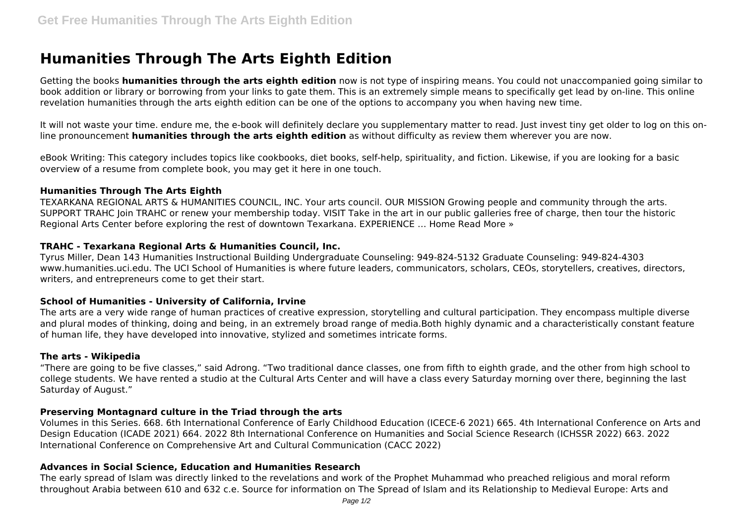# **Humanities Through The Arts Eighth Edition**

Getting the books **humanities through the arts eighth edition** now is not type of inspiring means. You could not unaccompanied going similar to book addition or library or borrowing from your links to gate them. This is an extremely simple means to specifically get lead by on-line. This online revelation humanities through the arts eighth edition can be one of the options to accompany you when having new time.

It will not waste your time. endure me, the e-book will definitely declare you supplementary matter to read. Just invest tiny get older to log on this online pronouncement **humanities through the arts eighth edition** as without difficulty as review them wherever you are now.

eBook Writing: This category includes topics like cookbooks, diet books, self-help, spirituality, and fiction. Likewise, if you are looking for a basic overview of a resume from complete book, you may get it here in one touch.

#### **Humanities Through The Arts Eighth**

TEXARKANA REGIONAL ARTS & HUMANITIES COUNCIL, INC. Your arts council. OUR MISSION Growing people and community through the arts. SUPPORT TRAHC Join TRAHC or renew your membership today. VISIT Take in the art in our public galleries free of charge, then tour the historic Regional Arts Center before exploring the rest of downtown Texarkana. EXPERIENCE … Home Read More »

# **TRAHC - Texarkana Regional Arts & Humanities Council, Inc.**

Tyrus Miller, Dean 143 Humanities Instructional Building Undergraduate Counseling: 949-824-5132 Graduate Counseling: 949-824-4303 www.humanities.uci.edu. The UCI School of Humanities is where future leaders, communicators, scholars, CEOs, storytellers, creatives, directors, writers, and entrepreneurs come to get their start.

#### **School of Humanities - University of California, Irvine**

The arts are a very wide range of human practices of creative expression, storytelling and cultural participation. They encompass multiple diverse and plural modes of thinking, doing and being, in an extremely broad range of media.Both highly dynamic and a characteristically constant feature of human life, they have developed into innovative, stylized and sometimes intricate forms.

#### **The arts - Wikipedia**

"There are going to be five classes," said Adrong. "Two traditional dance classes, one from fifth to eighth grade, and the other from high school to college students. We have rented a studio at the Cultural Arts Center and will have a class every Saturday morning over there, beginning the last Saturday of August."

#### **Preserving Montagnard culture in the Triad through the arts**

Volumes in this Series. 668. 6th International Conference of Early Childhood Education (ICECE-6 2021) 665. 4th International Conference on Arts and Design Education (ICADE 2021) 664. 2022 8th International Conference on Humanities and Social Science Research (ICHSSR 2022) 663. 2022 International Conference on Comprehensive Art and Cultural Communication (CACC 2022)

#### **Advances in Social Science, Education and Humanities Research**

The early spread of Islam was directly linked to the revelations and work of the Prophet Muhammad who preached religious and moral reform throughout Arabia between 610 and 632 c.e. Source for information on The Spread of Islam and its Relationship to Medieval Europe: Arts and